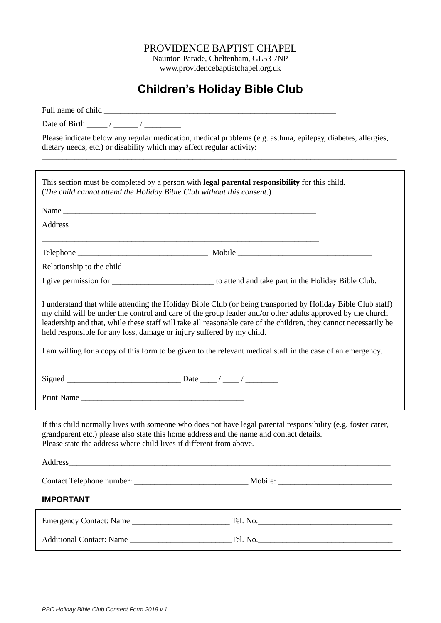## PROVIDENCE BAPTIST CHAPEL

Naunton Parade, Cheltenham, GL53 7NP www.providencebaptistchapel.org.uk

## **Children's Holiday Bible Club**

Full name of child

Date of Birth  $\frac{1}{\sqrt{2\pi}}$  /  $\frac{1}{\sqrt{2\pi}}$ 

Please indicate below any regular medication, medical problems (e.g. asthma, epilepsy, diabetes, allergies, dietary needs, etc.) or disability which may affect regular activity:

\_\_\_\_\_\_\_\_\_\_\_\_\_\_\_\_\_\_\_\_\_\_\_\_\_\_\_\_\_\_\_\_\_\_\_\_\_\_\_\_\_\_\_\_\_\_\_\_\_\_\_\_\_\_\_\_\_\_\_\_\_\_\_\_\_\_\_\_\_\_\_\_\_\_\_\_\_\_\_\_\_\_\_\_\_\_\_

| This section must be completed by a person with legal parental responsibility for this child.<br>(The child cannot attend the Holiday Bible Club without this consent.)                                                                                                                                                                                                                                                                                                                                                               |                                                                                                               |
|---------------------------------------------------------------------------------------------------------------------------------------------------------------------------------------------------------------------------------------------------------------------------------------------------------------------------------------------------------------------------------------------------------------------------------------------------------------------------------------------------------------------------------------|---------------------------------------------------------------------------------------------------------------|
|                                                                                                                                                                                                                                                                                                                                                                                                                                                                                                                                       |                                                                                                               |
|                                                                                                                                                                                                                                                                                                                                                                                                                                                                                                                                       |                                                                                                               |
|                                                                                                                                                                                                                                                                                                                                                                                                                                                                                                                                       |                                                                                                               |
|                                                                                                                                                                                                                                                                                                                                                                                                                                                                                                                                       |                                                                                                               |
|                                                                                                                                                                                                                                                                                                                                                                                                                                                                                                                                       |                                                                                                               |
|                                                                                                                                                                                                                                                                                                                                                                                                                                                                                                                                       | I give permission for _________________________________ to attend and take part in the Holiday Bible Club.    |
| I understand that while attending the Holiday Bible Club (or being transported by Holiday Bible Club staff)<br>my child will be under the control and care of the group leader and/or other adults approved by the church<br>leadership and that, while these staff will take all reasonable care of the children, they cannot necessarily be<br>held responsible for any loss, damage or injury suffered by my child.<br>I am willing for a copy of this form to be given to the relevant medical staff in the case of an emergency. |                                                                                                               |
|                                                                                                                                                                                                                                                                                                                                                                                                                                                                                                                                       |                                                                                                               |
|                                                                                                                                                                                                                                                                                                                                                                                                                                                                                                                                       |                                                                                                               |
| Print Name and the same state of the state of the state of the state of the state of the state of the state of the state of the state of the state of the state of the state of the state of the state of the state of the sta                                                                                                                                                                                                                                                                                                        |                                                                                                               |
| grandparent etc.) please also state this home address and the name and contact details.<br>Please state the address where child lives if different from above.<br>Address<br><u> 1989 - Johann Harry Harry Harry Harry Harry Harry Harry Harry Harry Harry Harry Harry Harry Harry Harry Harry</u>                                                                                                                                                                                                                                    | If this child normally lives with someone who does not have legal parental responsibility (e.g. foster carer, |
|                                                                                                                                                                                                                                                                                                                                                                                                                                                                                                                                       |                                                                                                               |
| <b>IMPORTANT</b>                                                                                                                                                                                                                                                                                                                                                                                                                                                                                                                      |                                                                                                               |
|                                                                                                                                                                                                                                                                                                                                                                                                                                                                                                                                       |                                                                                                               |